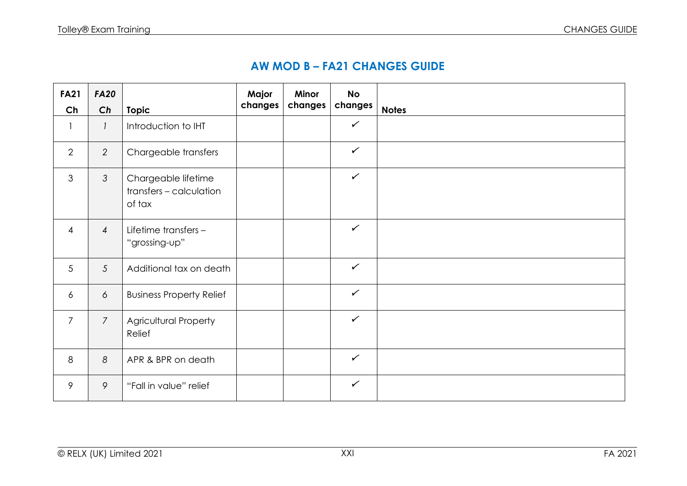## **AW MOD B – FA21 CHANGES GUIDE**

| <b>FA21</b><br>Ch        | <b>FA20</b><br>Ch | <b>Topic</b>                                             | Major<br>changes | <b>Minor</b><br>changes | <b>No</b><br>changes | <b>Notes</b> |
|--------------------------|-------------------|----------------------------------------------------------|------------------|-------------------------|----------------------|--------------|
| $\overline{\phantom{a}}$ | $\mathcal{I}$     | Introduction to IHT                                      |                  |                         | $\checkmark$         |              |
| $\overline{2}$           | $\overline{2}$    | Chargeable transfers                                     |                  |                         | $\checkmark$         |              |
| 3                        | $\mathcal{S}$     | Chargeable lifetime<br>transfers - calculation<br>of tax |                  |                         | $\checkmark$         |              |
| $\overline{4}$           | $\overline{4}$    | Lifetime transfers -<br>"grossing-up"                    |                  |                         | $\checkmark$         |              |
| 5                        | 5                 | Additional tax on death                                  |                  |                         | $\checkmark$         |              |
| 6                        | 6                 | <b>Business Property Relief</b>                          |                  |                         | $\checkmark$         |              |
| $\overline{7}$           | $\overline{7}$    | Agricultural Property<br>Relief                          |                  |                         | $\checkmark$         |              |
| 8                        | 8                 | APR & BPR on death                                       |                  |                         | $\checkmark$         |              |
| 9                        | 9                 | "Fall in value" relief                                   |                  |                         | $\checkmark$         |              |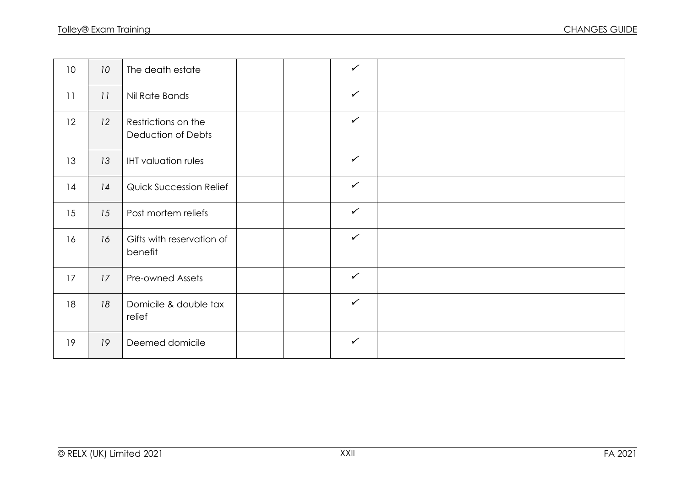| 10 | 10 <sup>°</sup> | The death estate                          |  | $\checkmark$ |  |
|----|-----------------|-------------------------------------------|--|--------------|--|
| 11 | 11              | Nil Rate Bands                            |  | $\checkmark$ |  |
| 12 | 12              | Restrictions on the<br>Deduction of Debts |  | $\checkmark$ |  |
| 13 | 13              | <b>IHT</b> valuation rules                |  | $\checkmark$ |  |
| 14 | 14              | <b>Quick Succession Relief</b>            |  | $\checkmark$ |  |
| 15 | 15              | Post mortem reliefs                       |  | $\checkmark$ |  |
| 16 | 16              | Gifts with reservation of<br>benefit      |  | $\checkmark$ |  |
| 17 | 17              | Pre-owned Assets                          |  | $\checkmark$ |  |
| 18 | 18              | Domicile & double tax<br>relief           |  | $\checkmark$ |  |
| 19 | 19              | Deemed domicile                           |  | $\checkmark$ |  |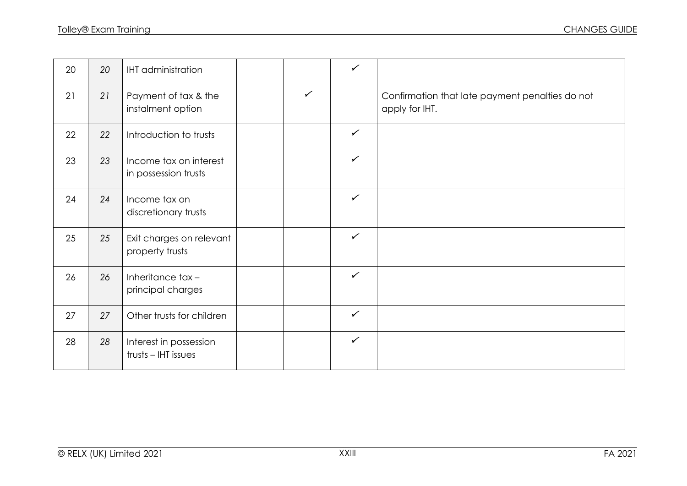| 20 | 20 | <b>IHT</b> administration                      |              | $\checkmark$ |                                                                   |
|----|----|------------------------------------------------|--------------|--------------|-------------------------------------------------------------------|
| 21 | 21 | Payment of tax & the<br>instalment option      | $\checkmark$ |              | Confirmation that late payment penalties do not<br>apply for IHT. |
| 22 | 22 | Introduction to trusts                         |              | $\checkmark$ |                                                                   |
| 23 | 23 | Income tax on interest<br>in possession trusts |              | $\checkmark$ |                                                                   |
| 24 | 24 | Income tax on<br>discretionary trusts          |              | $\checkmark$ |                                                                   |
| 25 | 25 | Exit charges on relevant<br>property trusts    |              | $\checkmark$ |                                                                   |
| 26 | 26 | Inheritance tax-<br>principal charges          |              | $\checkmark$ |                                                                   |
| 27 | 27 | Other trusts for children                      |              | $\checkmark$ |                                                                   |
| 28 | 28 | Interest in possession<br>trusts - IHT issues  |              | $\checkmark$ |                                                                   |